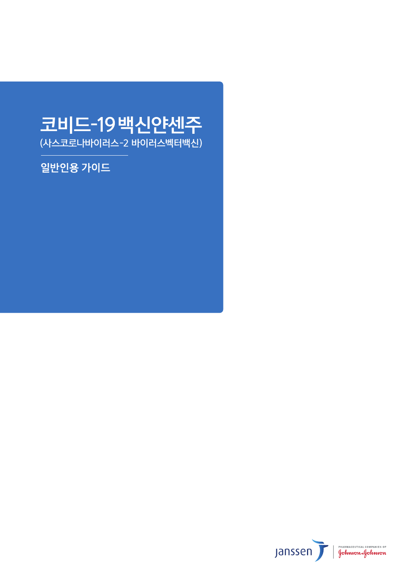# 코비드-19백신얀센주

(사스코로나바이러스-2 바이러스벡터백신)

일반인용 가이드

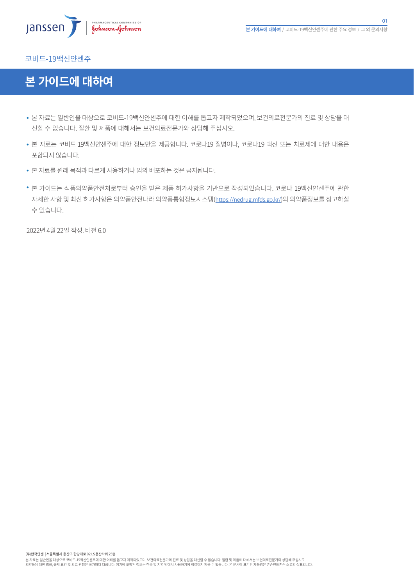

#### 코비드-19백신얀센주 EUA Fact Sheet EUA Fact Sheet 2 EUA Fact Sheet 3 CDC guideline

# $\mathbf{S}$  storage and  $\mathbf{S}$  and  $\mathbf{S}$  and  $\mathbf{S}$  and  $\mathbf{S}$  and  $\mathbf{S}$  and  $\mathbf{S}$  and  $\mathbf{S}$  and  $\mathbf{S}$  are  $\mathbf{S}$  and  $\mathbf{S}$  and  $\mathbf{S}$  are  $\mathbf{S}$  and  $\mathbf{S}$  are  $\mathbf{S}$  and  $\mathbf{S}$  are  $\mathbf{$ **본 가이드에 대하여**

Disease 2019 (COVID-19) in individuals 18 years of age and older. The emergency use of this product is authorized only for the • 몬 사료는 일반인을 내상으로 코비드-19백신얀센수에 내안 이해들 놉고사 세삭되었으며, 보건의료선문가의 신료 및 상남을 내 신할 수 없습니다. 질환 및 제품에 대해서는 보건의료전문가와 상담해 주십시오.

The Janssen Covid-19 vaccine has not been approved or licensed by the U.S.  $\mu$  and Drug Administration (FDA), but has not but has not been approved or licensed by the U.S. Food and Drug Administration (FDA), but has not

- 본 자료는 코비드-19백신얀센주에 대한 정보만을 제공합니다. 코로나19 질병이나, 코로나19 백신 또는 치료제에 대한 내용은 The Janssen Covid-19 vaccine is supplied in a carton of 10 multi-dose via la maximum of 5 doses of 0.5 mL can be 5 doses of 0.5 mL can be 5 doses of 0.5 mL can be 5 doses of 0.5 mL can be 5 doses of 0.5 mL can be 5 doses o 포함되지 않습니다.
- 본 자료를 원래 목적과 다르게 사용하거나 임의 배포하는 것은 금지됩니다.
	- Storage and Handling\* 본 가이느는 식품의악품안전저로무터 승인을 맡은 세품 어가사양을 기반으로 삭정되었습니다. 코로나-19백신얀센주에 관안<br>-사세안 사양 및 최신 어가사양은 의약품안선나라 의약품통합정보시스템(<u>https://nedrug.mfds.go.kr/</u>)의 의약품정보들 삼고하실  $U$ npunctured via  $\mathcal{S}$  to  $\mathcal{S}$  to  $\mathcal{S}$  to  $\mathcal{S}$  to  $\mathcal{S}$  to  $\mathcal{S}$  to  $\mathcal{S}$  for up to 12 hours to 12 hours to 12 hours to 12 hours to 12 hours to 12 hours to 12 hours to 12 hours to 12 hours to 12 h 수 있습니다.

The COVID-19 vaccine is initially stored from shipped at  $36^{\circ}$  to  $36^{\circ}$  to  $36^{\circ}$ 2022년

(주)한국얀센 | 서울특별시 용산구 한강대로 92 LS용산타워 25층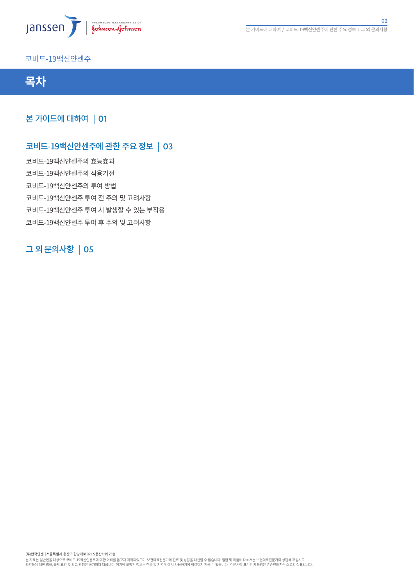

#### 코비드-19백신얀센주 EUA Fact Sheet EUA Fact Sheet 2 EUA Fact Sheet 3 CDC guideline



Disease 2019 (COVID-19) in individuals 18 years of age and older. The emergency use of this product is authorized only for the  $\,$ 본 가이드에 대하여 | 01 $\,$ 

# 코비드-19백신얀센주에 관한 주요 정보 <mark>|</mark> 03

The Janssen Covid-19 vaccine has not been approved or licensed by the U.S.  $\mu$  and Drug Administration (FDA), but has not but has not been approved or licensed by the U.S. Food and Drug Administration (FDA), but has not

The Janssen Covid-19 vaccine is supplied in a carton of 10  $m$ ulti-doses of  $\Delta t$  doses of  $\Delta t$ withdrawn from the multi-dose via l. The vial stoppers are not made with natural rubber latex. The vial stoppers are not made with natural rubber latex. The vial stoppers are not made with natural rubber latex. The vial st Storage and Handling\* 코비드-19백신얀센주의 투여 방법 Storage Prior to First Puncture of the Vaccine Vialence Via Library Puncture of the Vaccine Via Library Puncture<br>The Vaccine Via Library Puncture of the Vaccine Via Library Puncture of the Vaccine Via Library Puncture of t 코비드-19백신안센수 투여 선 수의 및 고려사항<br>-코비드-19백신얀센수 투여 시 발생할 수 있는 무삭용 코비드-19백신얀센주 투여 후 주의 및 고려사항 코비드-19백신얀센주의 작용기전 코비드-19백신얀센주의 효능효과

#### If vaccine is still frozen upon receipt, thaw at 36°F to 46°F (2°C to 8°C). If needed immediately, thaw at room 그 외 문의사항 | 05 $\pm$

(주)한국얀센 | 서울특별시 용산구 한강대로 92 LS용산타워 25층

본 사료는 일반인을 대상으로 코비드-19백신얀센수에 대한 이해를 돕고사 제작되었으며, 보건의료선분가의 신료 및 상담을 대신할 수 없습니다. 실환 및 제품에 대해서는 보건의료선분가와 상담해 수십시오.<br>의약품에 대한 법률, 규제 요건 및 의료 관행은 국가마다 다릅니다. 여기에 포함된 정보는 한국 및 지역 밖에서 사용하기에 적절하지 않을 수 있습니다. 본 문서에 표기된 제품명은 존슨앤드존슨 소유의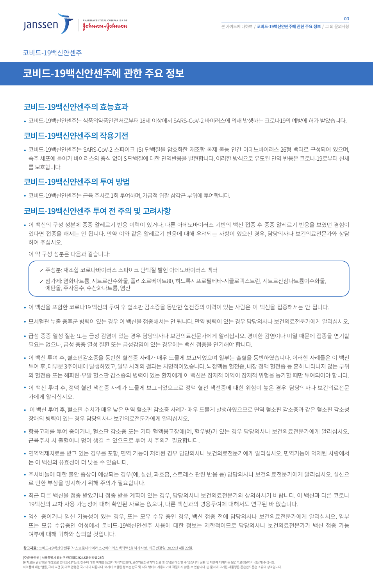코비드-19백신얀센주 EUA Fact Sheet EUA Fact Sheet 2 EUA Fact Sheet 3 CDC guideline

## Storage, Dosage and Administration Guide **코비드-19백신얀센주에 관한 주요 정보**

### Disease 2019 (COVID-19) in individuals 18 years of age and older. The emergency use of this product is authorized only for the 코비드-19백신얀센주의 효능효과

• 코비드-19백신얀센주는 식품의약품안전처로부터 18세 이상에서 SARS-CoV-2 바이러스에 의해 발생하는 코로나19의 예방에 허가 받았습니다.

The Janssen Covid-19 vaccine has not been approved or licensed by the U.S.  $\mu$  and Drug Administration (FDA), but has not but has not been approved or licensed by the U.S. Food and Drug Administration (FDA), but has not

#### $10H$  I Iotili $\pm$  OL  $\pm$ The Janssen Covine is supplied in a carton of 10  $m$  multi-dose via  $\alpha$  multi-doses of  $\alpha$ 코비드-19백신얀센주의 작용기전

코비드-19백신얀센주는 SARS-CoV-2 스파이크 (S) 단백질을 암호화한 재조합 복제 불능 인간 아데노바이러스 26형 백터로 구성되어 있으며, L에 끝아가 바이다ㅡㅠ ㅇㅋ ᆹ어하다<br>해나다 Storage Prior to First Puncture of the Vaccine Vial 숙주 세포에 들어가 바이러스의 증식 없이 S 단백질에 대한 면역반응을 발현합니다. 이러한 방식으로 유도된 면역 반응은 코로나-19로부터 신체 를 보호합니다.

# 코비드-19백신얀센수의 투여 방법

• 코비드-19백신얀센주는 근육 주사로 1회 투여하며, 가급적 위팔 삼각근 부위에 투여합니다.  $\overline{\phantom{a}}$ 

# 코비드-19백신얀센수 투여 선 수의 및 고려사항

이 백신의 구성 성분에 중증 알레르기 반응 이력이 있거나, 다른 아데노바이러스 기반의 백신 접종 후 중증 알레르기 반응을 보였던 경험이 있다면 접종을 해서는 안 됩니다. 만약 이와 같은 알레르기 반응에 대해 우려되는 사항이 있으신 경우, 담당의사나 보건의료전문가와 상담<br>...... ㅡ..... –  $A_{\rm eff}$  room temperature, and individual via large  $\sim$ 하여 주십시오.

Storage After First Puncture of the Vaccine Vial Information Center Adverse Events Expiry Date Corona Virus Ed. 이 약 구성 성분은 다음과 같습니다:

Find Vaccine Operation

EUA Fact Sheet EUA Fact Sheet 2 EUA Fact Sheet 3 CDC guideline

주성분: 재조합 코로나바이러스 스파이크 단백질 발현 아데노바이러스 벡터

Reimbursment Virus vaccine Facts Administration

Storage

- room temperature (maximally  $\overline{r}$   $\overline{r}$   $\overline{r}$  ) for  $\overline{r}$   $\overline{r}$  (maximally  $\overline{r}$  ) for  $\overline{r}$  (maximally  $\overline{r}$  ) for  $\overline{r}$  (maximally  $\overline{r}$  ) for  $\overline{r}$  (maximally  $\overline{r}$  ) for  $\overline{r}$  (m 8기제: 8피미스8,시그그리 1 피클, 블리고그레이그00, 이그ㅋ<br>에탄올, 주사용수, 수산화나트륨, 염산 첨가제: 염화나트륨, 시트르산수화물, 폴리소르베이트80, 히드록시프로필베타-시클로덱스트린, 시트르산삼나트륨이수화물,
- Expiration Tracking 이 백신을 포암한 코로나19 백신의 투여 후 열소판 감소승을 농반한 열선승의 이력이 있는 사람은 이 백신을 섭송해서는 안 됩니다.<br>-
- COVID-19 Vaccine. Expiry dates may be updated as these studies are completed. 모세열관 누술 승우군 병력이 있는 경우 이 백신을 섭송해서는 안 뇝니다. 만약 병력이 있는 경우 남당의사나 보건의료선문가에게 알리십시오.<br>-
- 급성 중증 열성 질환 또는 급성 감염이 있는 경우 담당의사나 보건의료전문가에게 알리십시오. 경미한 감염이나 미열 때문에 접종을 연기할 필요는 없으나, 급성 중증 열성 질환 또는 급성감염이 있는 경우에는 백신 접종을 연기해야 합니다. 2. On the web: www.vaxcheck.jp
- 이 백신 투여 후, 혈소판감소증을 동반한 혈전증 사례가 매우 드물게 보고되었으며 일부는 출혈을 동반하였습니다. 이러한 사례들은 이 백신 의 혈전증 또는 헤파린-유발 혈소판 감소증의 병력이 있는 환자에게 이 백신은 잠재적 이익이 잠재적 위험을 능가할 때만 투여되어야 합니다. 투여 후, 대부분 3주이내에 발생하였고, 일부 사례의 결과는 치명적이었습니다. 뇌정맥동 혈전증, 내장 정맥 혈전증 등 흔히 나타나지 않는 부위
- 이 백신 투여 후, 정맥 혈전 색전증 사례가 드물게 보고되었으므로 정맥 혈전 색전증에 대한 위험이 높은 경우 담당의사나 보건의료전문 가에게 알리십시오.
- 이 백신 투여 후, 혈소판 수치가 매우 낮은 면역 혈소판 감소증 사례가 매우 드물게 발생하였으므로 면역 혈소판 감소증과 같은 혈소판 감소성 장애의 병력이 있는 경우 담당의사나 보건의료전문가에게 알리십시오.
- 항응고제를 투여 중이거나, 혈소판 감소증 또는 기타 혈액응고장애(예, 혈우병)가 있는 경우 담당의사나 보건의료전문가에게 알리십시오. **Please read Emergency Use Authorization (EUA) Fact Sheet for Healthcare Providers Administering Vaccine (Vaccination Providers) including full EUA Prescribing Information available at www.JanssenCOVID19Vaccine.com/EUA-factsheet.** 근육주사 시 출혈이나 멍이 생길 수 있으므로 투여 시 주의가 필요합니다.
- 면역억제치료를 받고 있는 경우를 포함, 면역 기능이 저하된 경우 담당의사나 보건의료전문가에게 알리십시오. 면역기능이 억제된 사람에서 는 이 백신의 유효성이 더 낮을 수 있습니다.
- 주사바늘에 대한 불안 증상이 예상되는 경우(예, 실신, 과호흡, 스트레스 관련 반응 등) 담당의사나 보건의료전문가에게 알리십시오. 실신으 로 인한 부상을 방지하기 위해 주의가 필요합니다.
- 최근 다른 백신을 접종 받았거나 접종 받을 계획이 있는 경우, 담당의사나 보건의료전문가와 상의하시기 바랍니다. 이 백신과 다른 코로나 19백신의 교차 사용 가능성에 대해 확인된 자료는 없으며, 다른 백신과의 병용투여에 대해서도 연구된 바 없습니다.
- 임신 중이거나 임신 가능성이 있는 경우, 또는 모유 수유 중인 경우, 백신 접종 전에 담당의사나 보건의료전문가에게 알리십시오. 임부 또는 모유 수유중인 여성에서 코비드-19백신얀센주 사용에 대한 정보는 제한적이므로 담당의사나 보건의료전문가가 백신 접종 가능 여부에 대해 귀하와 상의할 것입니다.

**삼고사료:** 코비느-19백신얀센수(사스코로나바이러스-2바이러스백터백신) 허가사항. 쇠근변경일: 2022년 4월 22일.

(주)한국얀센 | 서울특별시 용산구 한강대로 92 LS용산타워 25층

본 사료는 일반인을 대상으로 코비느-19백신얀센수에 대한 이해들 돕고사 제작되었으며, 보건의료선분가의 신료 및 상담을 대신할 수 없습니다. 실완 및 제품에 대해서는 보건의료선분가와 상담해 수십시오.<br>의약품에 대한 법률, 규제 요건 및 의료 관행은 국가마다 다릅니다. 여기에 포함된 정보는 한국 및 지역 밖에서 사용하기에 적절하지 않을 수 있습니다. 본 문서에 표기된 제품명은 존슨앤드존슨 소유의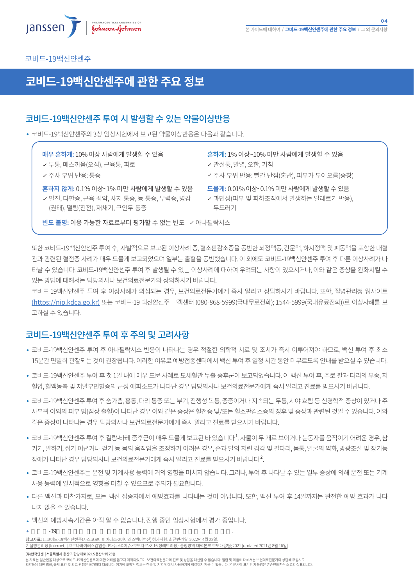

#### 코비드-19백신얀센주 EUA Fact Sheet EUA Fact Sheet 2 EUA Fact Sheet 3 CDC guideline

## Storage, Dosage and Administration Guide **코비드-19백신얀센주에 관한 주요 정보**

### Disease 2019 (COVID-19) in individuals 18 years of age and older. The emergency use of this product is authorized only for the 코비드-19백신얀센수 투여 시 발생할 수 있는 약물이상반응

• 코비드-19백신얀센주의 3상 임상시험에서 보고된 약물이상반응은 다음과 같습니다.

매우 흔하게: 10% 이상 사람에게 발생할 수 있음

withdrawn from the multi-dose vial. The vial stoppers are not made with natural rubber latex. 두통, 메스꺼움(오심), 근육통, 피로

How It's Supplied Supplied Supplied Supplied Supplied Supplied Supplied Supplied Supplied Supplied Supplied Su

■ | → 주사 부위 반응: 통증

Resources Supply

Adverse Events

storage and Handling\*<br>Storage and Handling\* 은하<mark>지 않게:</mark> 0.1% 이상~1% 미만 사람에게 말생할 수 있음 \_\_\_\_\_\_\_\_\_<br>-

- Unpunctured vials of the vaccine may be stored between 47°F to 77°F (9°C to 25°C) for up to 12 hours Temperature (권태), 떨림(진전), 재채기, 구인두 통증 발진, 다한증, 근육 쇠약, 사지 통증, 등 통증, 무력증, 병감
- The Janssen COVID-19 Vaccine is supplied in a carton of 10 multi-dose vials. A maximum of 5 doses of 0.5 mL can be 흔하게: 1% 이상~10% 미만 사람에게 발생할 수 있음
	- 관절통, 발열, 오한, 기침
	- 주사 부위 반응: 빨간 반점(홍반), 피부가 부어오름(종창)
	- 드물게: 0.01% 이상~0.1% 미만 사람에게 발생할 수 있음
	- Store unpunctured multi-dose vials of the Janssen COVID-19 Vaccine at 36°F to 46°F (2°C to 8°C) and protect from light 과민성(피부 및 피하조직에서 발생하는 알레르기 반응), 두드러기

┃ │ 빈도 불명: 이용 가능한 자료로부터 평가할 수 없는 빈도 \_ < 아나필락시스

If vaccine is still frozen upon receipt, thaw at 36°F to 46°F (2°C to 8°C). If needed immediately, thaw at room 또한 코비드-19백신얀센수 투여 우, 사말적으로 보고된 이상사례 숭, 열소판감소승을 농반한 뇌성맥농, 간문맥, 아시성맥 및 폐농맥을 포함한 내열<br>- At room temperature, a carton of 10 vials will take ~2 hours to thaw EUA Fact Sheet EUA Fact Sheet 2 EUA Fact Sheet 3 CDC guideline 관과 관련된 혈전증 사례가 매우 드물게 보고되었으며 일부는 출혈을 동반했습니다. 이 외에도 코비드-19백신얀센주 투여 후 다른 이상사례가 나 타날 수 있습니다. 코비느-19백신얀센수 투여 우 말생될 수 있는 이상사례에 내아여 우려뇌는 사양이 있으시거나, 이와 같은 증상을 완화시길 수<br>-있는 방법에 대해서는 담당의사나 보건의료전문가와 상의하시기 바랍니다.

The Janssen COVID-19 Vaccine is initially stored frozen by the manufacturer, then shipped at 36°F to 46°F (2°C to 8°C).

The Janssen Covid-19 vaccine has not been approved or licensed by the U.S.  $\mu$  and Drug Administration (FDA), but has not but has not been approved or licensed by the U.S. Food and Drug Administration (FDA), but has not

Storage After First Puncture of the Vaccine Vial Information Center Adverse Events Expiry Date Corona Virus Ed. Storage 코비드-19백신얀센주 투여 후 이상사례가 의심되는 경우, 보건의료전문가에게 즉시 알리고 상담하시기 바랍니다. 또한, 질병관리청 웹사이트 After the first dose has been withdrawn, hold the vial between 36°F and 46°F (2°C to 8°C) for up to 6 hours or at <u>(https://nip.kdca.go.kr)</u> 또는 코비드-19 백신얀센수 고객센터 (080-868-5999(국내무료선와); 1544-5999(국내유료선와))로 이상사례들 보<br>- $D$  is not used with vacant is not used with vacant  $D$  vacant  $\alpha$  times the vacant  $\alpha$ 고하실 수 있습니다.

# 코비드-19백신얀센주 투여 후 주의 및 고려사항

- 코비드-19백신얀센수 투여 후 아나필락시스 반응이 나타나는 경우 적설한 의학석 치료 및 조치가 슥시 이루어져야 하므로, 백신 투여 후 죄소 15분간 면밀히 관찰되는 것이 권장됩니다. 이러한 이유로 예방접종센터에서 백신 투여 후 일정 시간 동안 머무르도록 안내를 받으실 수 있습니다.
	- 코비드-19백신얀센주 투여 후 첫 1일 내에 매우 드문 사례로 모세혈관 누출 증후군이 보고되었습니다. 이 백신 투여 후, 주로 팔과 다리의 부종, 저 1. Scan the Code on the back of the back of the back of the camera mobile device camera mobile device camera m<br>1. Scan the camera mobile device camera mobile device camera mobile de la camera mobile de la camera mobile de 열압, 열액농숙 및 서알무민열승의 급성 에피소드가 나타난 경우 남당의사나 보건의료선문가에게 즉시 알리고 신료를 받으시기 바랍니다.<br>-
	- 코비드-19백신얀센주 투여 후 숨가쁨, 흉통, 다리 통증 또는 부기, 진행성 복통, 중증이거나 지속되는 두통, 시야 흐림 등 신경학적 증상이 있거나 주 **IMPORTANT SAFETY INFORMATION** 같은 증상이 나타나는 경우 담당의사나 보건의료전문가에게 즉시 알리고 진료를 받으시기 바랍니다. 사무위 이외의 피무 멍(섬상 줄열)이 나타난 경우 이와 같은 승상은 열선승 및/또는 열소판감소승의 싱우 및 승상과 관련된 것일 수 있습니다. 이와
	- **CONTRAINDICATIONS** 키기, 말하기, 씹기 어렵거나 걷기 등 몸의 움직임을 조정하기 어려운 경우, 손과 발의 저린 감각 및 팔다리, 몸통, 얼굴의 약화, 방광조절 및 장기능 Do not administer the Janssen COVID-19 Vaccine to individuals with a known history of a severe allergic reaction (e.g., anaphylaxis) 상애가 나타난 경우 남낭의사나 보건의료선문가에게 즉시 알리고 신료들 받으시기 바랍니나 \*. 코비드-19백신얀센주 투여 후 길랑-바레 증후군이 매우 드물게 보고된 바 있습니다<sup>1</sup>. 사물이 두 개로 보이거나 눈동자를 움직이기 어려운 경우, 삼
	- 코비드-19백신얀센수는 운전 및 기계사용 능력에 거의 영양을 미지시 않습니다. 그러나, 투여 우 나타날 수 있는 일무 승상에 의해 운전 또는 기계<br>-사용 능력에 일시적으로 영향을 미칠 수 있으므로 주의가 필요합니다. <sup>2</sup>.<br>후 나타날 *-*<br>백신 투여 ፤<br>-
	- 다른 백신과 마찬가지로, 모든 백신 접종자에서 예방효과를 나타내는 것이 아닙니다. 또한, 백신 투여 후 14일까지는 완전한 예방 효과가 나타 나지 않을 수 있습니다.
	- 백신의 예방지속기간은 아직 알 수 없습니다. 진행 중인 임상시험에서 평가 중입니다.

참고자료: 1. 코비드-19백신얀센주(사스코로나바이러스-2바이러스벡터백신) 허가사항. 최근변경일: 2022년 4월 22일. 코비드-19백신얀센주 투여 횡단성 척수염이 매우 드물게 보고된 있습니다.

.<br>관리청 [Internet]. [코로나바이러스감염증-19>뉴스&이슈>보도자료>8.16 정례브리핑]: 중앙방역 대책본부 보도대응팀; 2021 [updated 2021년 8월 16일]

(주)한국얀센 | 서울특별시 용산구 한강대로 92 LS용산타워 25층

본 자료는 일반인을 대상으로 코비드-19백신얀센주에 대한 이해를 돕고자 제작되었으며, 보건의료전문가의 진료 및 상담을 대신할 수 없습니다. 질환 및 제품에 대해서는 보건의료전문가와 상담해 주십시오. 의약품에 대한 법률, 규제 요건 및 의료 관행은 국가마다 다릅니다. 여기에 포함된 정보는 한국 및 지역 밖에서 사용하기에 적절하지 않을 수 있습니다. 본 문서에 표기된 제품명은 존슨앤드존슨 소유의 상표입니다.